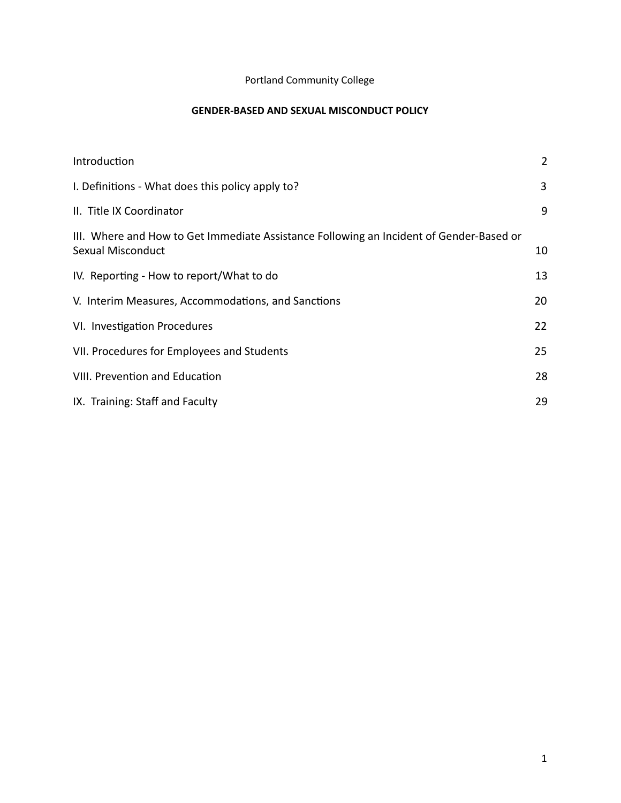## Portland Community College

## **GENDER-BASED AND SEXUAL MISCONDUCT POLICY**

| Introduction                                                                                                 | $\overline{2}$ |
|--------------------------------------------------------------------------------------------------------------|----------------|
| I. Definitions - What does this policy apply to?                                                             | 3              |
| II. Title IX Coordinator                                                                                     | 9              |
| III. Where and How to Get Immediate Assistance Following an Incident of Gender-Based or<br>Sexual Misconduct | 10             |
| IV. Reporting - How to report/What to do                                                                     | 13             |
| V. Interim Measures, Accommodations, and Sanctions                                                           | 20             |
| VI. Investigation Procedures                                                                                 | 22             |
| VII. Procedures for Employees and Students                                                                   | 25             |
| VIII. Prevention and Education                                                                               | 28             |
| IX. Training: Staff and Faculty                                                                              | 29             |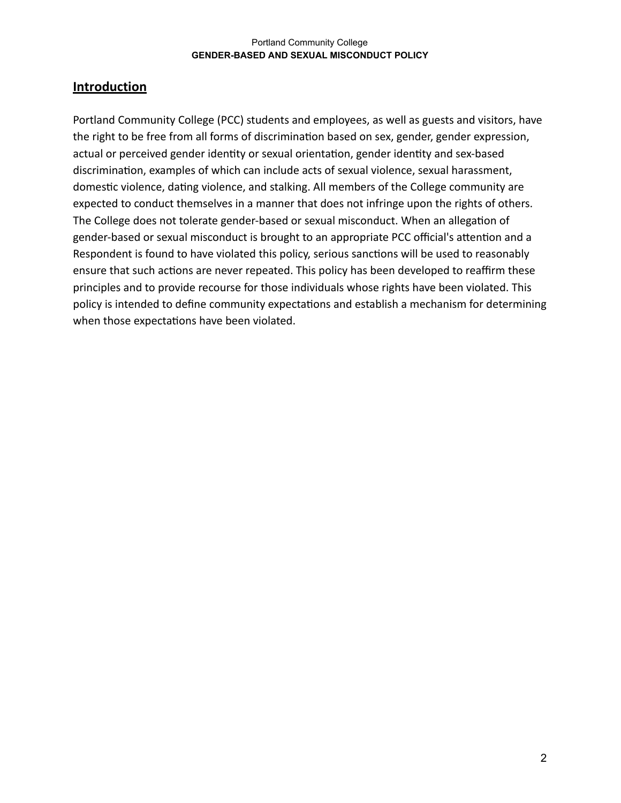# <span id="page-1-0"></span>**Introduction**

Portland Community College (PCC) students and employees, as well as guests and visitors, have the right to be free from all forms of discrimination based on sex, gender, gender expression, actual or perceived gender identity or sexual orientation, gender identity and sex-based discrimination, examples of which can include acts of sexual violence, sexual harassment, domestic violence, dating violence, and stalking. All members of the College community are expected to conduct themselves in a manner that does not infringe upon the rights of others. The College does not tolerate gender-based or sexual misconduct. When an allegation of gender-based or sexual misconduct is brought to an appropriate PCC official's attention and a Respondent is found to have violated this policy, serious sanctions will be used to reasonably ensure that such actions are never repeated. This policy has been developed to reaffirm these principles and to provide recourse for those individuals whose rights have been violated. This policy is intended to define community expectations and establish a mechanism for determining when those expectations have been violated.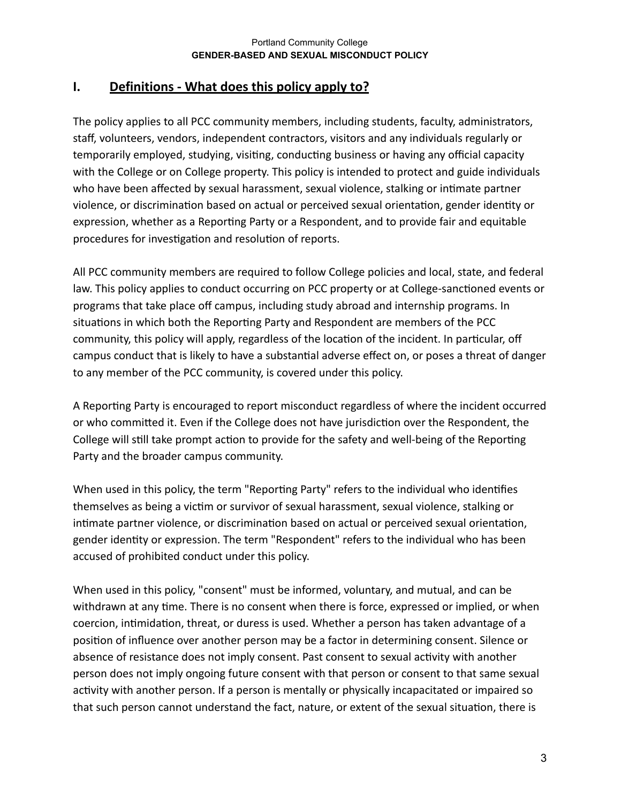# <span id="page-2-0"></span>**I. Definitions - What does this policy apply to?**

The policy applies to all PCC community members, including students, faculty, administrators, staff, volunteers, vendors, independent contractors, visitors and any individuals regularly or temporarily employed, studying, visiting, conducting business or having any official capacity with the College or on College property. This policy is intended to protect and guide individuals who have been affected by sexual harassment, sexual violence, stalking or intimate partner violence, or discrimination based on actual or perceived sexual orientation, gender identity or expression, whether as a Reporting Party or a Respondent, and to provide fair and equitable procedures for investigation and resolution of reports.

All PCC community members are required to follow College policies and local, state, and federal law. This policy applies to conduct occurring on PCC property or at College-sanctioned events or programs that take place off campus, including study abroad and internship programs. In situations in which both the Reporting Party and Respondent are members of the PCC community, this policy will apply, regardless of the location of the incident. In particular, off campus conduct that is likely to have a substantial adverse effect on, or poses a threat of danger to any member of the PCC community, is covered under this policy.

A Reporting Party is encouraged to report misconduct regardless of where the incident occurred or who committed it. Even if the College does not have jurisdiction over the Respondent, the College will still take prompt action to provide for the safety and well-being of the Reporting Party and the broader campus community.

When used in this policy, the term "Reporting Party" refers to the individual who identifies themselves as being a victim or survivor of sexual harassment, sexual violence, stalking or intimate partner violence, or discrimination based on actual or perceived sexual orientation, gender identity or expression. The term "Respondent" refers to the individual who has been accused of prohibited conduct under this policy.

When used in this policy, "consent" must be informed, voluntary, and mutual, and can be withdrawn at any time. There is no consent when there is force, expressed or implied, or when coercion, intimidation, threat, or duress is used. Whether a person has taken advantage of a position of influence over another person may be a factor in determining consent. Silence or absence of resistance does not imply consent. Past consent to sexual activity with another person does not imply ongoing future consent with that person or consent to that same sexual activity with another person. If a person is mentally or physically incapacitated or impaired so that such person cannot understand the fact, nature, or extent of the sexual situation, there is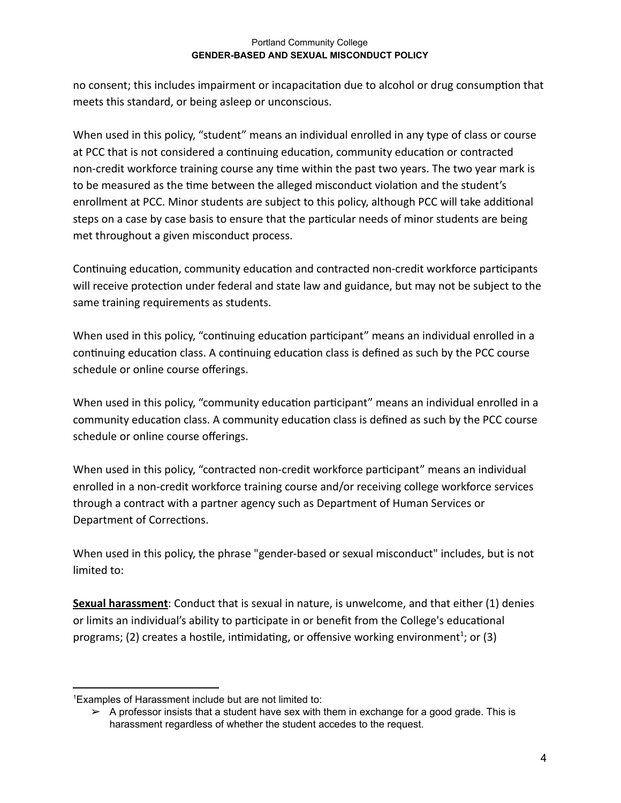no consent; this includes impairment or incapacitation due to alcohol or drug consumption that meets this standard, or being asleep or unconscious.

When used in this policy, "student" means an individual enrolled in any type of class or course at PCC that is not considered a continuing education, community education or contracted non-credit workforce training course any time within the past two years. The two year mark is to be measured as the time between the alleged misconduct violation and the student's enrollment at PCC. Minor students are subject to this policy, although PCC will take additional steps on a case by case basis to ensure that the particular needs of minor students are being met throughout a given misconduct process.

Continuing education, community education and contracted non-credit workforce participants will receive protection under federal and state law and guidance, but may not be subject to the same training requirements as students.

When used in this policy, "continuing education participant" means an individual enrolled in a continuing education class. A continuing education class is defined as such by the PCC course schedule or online course offerings.

When used in this policy, "community education participant" means an individual enrolled in a community education class. A community education class is defined as such by the PCC course schedule or online course offerings.

When used in this policy, "contracted non-credit workforce participant" means an individual enrolled in a non-credit workforce training course and/or receiving college workforce services through a contract with a partner agency such as Department of Human Services or Department of Corrections.

When used in this policy, the phrase "gender-based or sexual misconduct" includes, but is not limited to:

**Sexual harassment** : Conduct that is sexual in nature, is unwelcome, and that either (1) denies or limits an individual's ability to participate in or benefit from the College's educational programs; (2) creates a hostile, intimidating, or offensive working environment<sup>1</sup>; or (3)

<sup>1</sup>Examples of Harassment include but are not limited to:

 $\triangleright$  A professor insists that a student have sex with them in exchange for a good grade. This is harassment regardless of whether the student accedes to the request.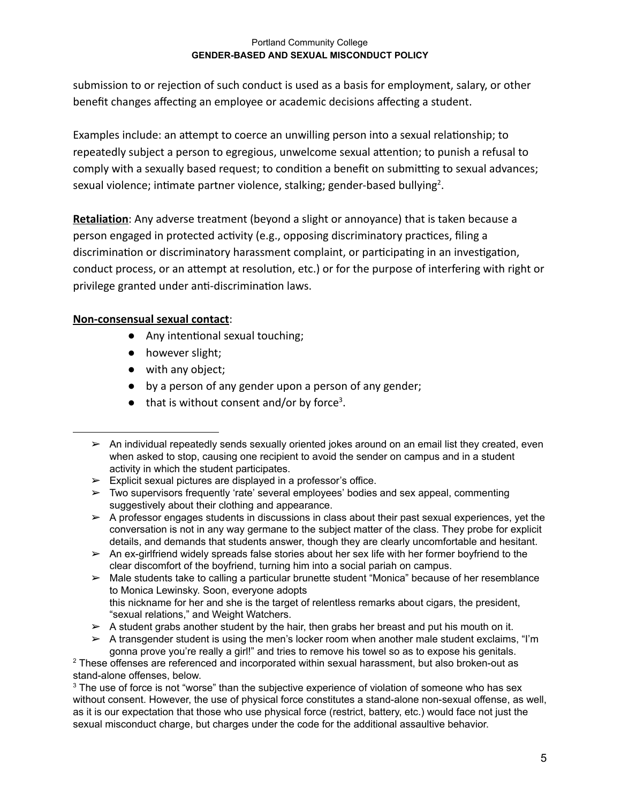submission to or rejection of such conduct is used as a basis for employment, salary, or other benefit changes affecting an employee or academic decisions affecting a student.

Examples include: an attempt to coerce an unwilling person into a sexual relationship; to repeatedly subject a person to egregious, unwelcome sexual attention; to punish a refusal to comply with a sexually based request; to condition a benefit on submitting to sexual advances; sexual violence; intimate partner violence, stalking; gender-based bullying<sup>2</sup>.

**Retaliation:** Any adverse treatment (beyond a slight or annoyance) that is taken because a person engaged in protected activity (e.g., opposing discriminatory practices, filing a discrimination or discriminatory harassment complaint, or participating in an investigation, conduct process, or an attempt at resolution, etc.) or for the purpose of interfering with right or privilege granted under anti-discrimination laws.

## **Non-consensual sexual contact** :

- Any intentional sexual touching;
- however slight;
- with any object;
- by a person of any gender upon a person of any gender;
- $\bullet$  that is without consent and/or by force<sup>3</sup>.

 $\geq$  Explicit sexual pictures are displayed in a professor's office.

 $\triangleright$  An ex-girlfriend widely spreads false stories about her sex life with her former boyfriend to the clear discomfort of the boyfriend, turning him into a social pariah on campus.

 $\triangleright$  Male students take to calling a particular brunette student "Monica" because of her resemblance to Monica Lewinsky. Soon, everyone adopts this nickname for her and she is the target of relentless remarks about cigars, the president, "sexual relations," and Weight Watchers.

 $\triangleright$  A student grabs another student by the hair, then grabs her breast and put his mouth on it.

 $\triangleright$  A transgender student is using the men's locker room when another male student exclaims, "I'm gonna prove you're really a girl!" and tries to remove his towel so as to expose his genitals.

<sup>2</sup> These offenses are referenced and incorporated within sexual harassment, but also broken-out as stand-alone offenses, below.

<sup>3</sup> The use of force is not "worse" than the subjective experience of violation of someone who has sex without consent. However, the use of physical force constitutes a stand-alone non-sexual offense, as well, as it is our expectation that those who use physical force (restrict, battery, etc.) would face not just the sexual misconduct charge, but charges under the code for the additional assaultive behavior.

 $\triangleright$  An individual repeatedly sends sexually oriented jokes around on an email list they created, even when asked to stop, causing one recipient to avoid the sender on campus and in a student activity in which the student participates.

 $\triangleright$  Two supervisors frequently 'rate' several employees' bodies and sex appeal, commenting suggestively about their clothing and appearance.

 $\triangleright$  A professor engages students in discussions in class about their past sexual experiences, yet the conversation is not in any way germane to the subject matter of the class. They probe for explicit details, and demands that students answer, though they are clearly uncomfortable and hesitant.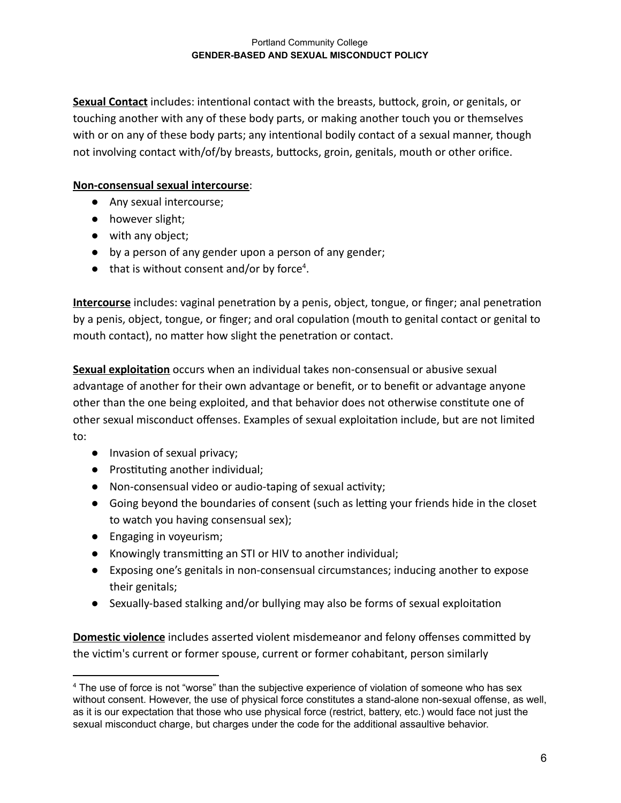**Sexual Contact** includes: intentional contact with the breasts, buttock, groin, or genitals, or touching another with any of these body parts, or making another touch you or themselves with or on any of these body parts; any intentional bodily contact of a sexual manner, though not involving contact with/of/by breasts, buttocks, groin, genitals, mouth or other orifice.

## **Non-consensual sexual intercourse** :

- Any sexual intercourse;
- however slight;
- with any object;
- by a person of any gender upon a person of any gender;
- $\bullet$  that is without consent and/or by force<sup>4</sup>.

**Intercourse** includes: vaginal penetration by a penis, object, tongue, or finger; anal penetration by a penis, object, tongue, or finger; and oral copulation (mouth to genital contact or genital to mouth contact), no matter how slight the penetration or contact.

**Sexual exploitation** occurs when an individual takes non-consensual or abusive sexual advantage of another for their own advantage or benefit, or to benefit or advantage anyone other than the one being exploited, and that behavior does not otherwise constitute one of other sexual misconduct offenses. Examples of sexual exploitation include, but are not limited to:

- Invasion of sexual privacy;
- Prostituting another individual;
- Non-consensual video or audio-taping of sexual activity;
- Going beyond the boundaries of consent (such as letting your friends hide in the closet to watch you having consensual sex);
- Engaging in voyeurism;
- Knowingly transmitting an STI or HIV to another individual;
- Exposing one's genitals in non-consensual circumstances; inducing another to expose their genitals;
- Sexually-based stalking and/or bullying may also be forms of sexual exploitation

**Domestic violence** includes asserted violent misdemeanor and felony offenses committed by the victim's current or former spouse, current or former cohabitant, person similarly

<sup>4</sup> The use of force is not "worse" than the subjective experience of violation of someone who has sex without consent. However, the use of physical force constitutes a stand-alone non-sexual offense, as well, as it is our expectation that those who use physical force (restrict, battery, etc.) would face not just the sexual misconduct charge, but charges under the code for the additional assaultive behavior.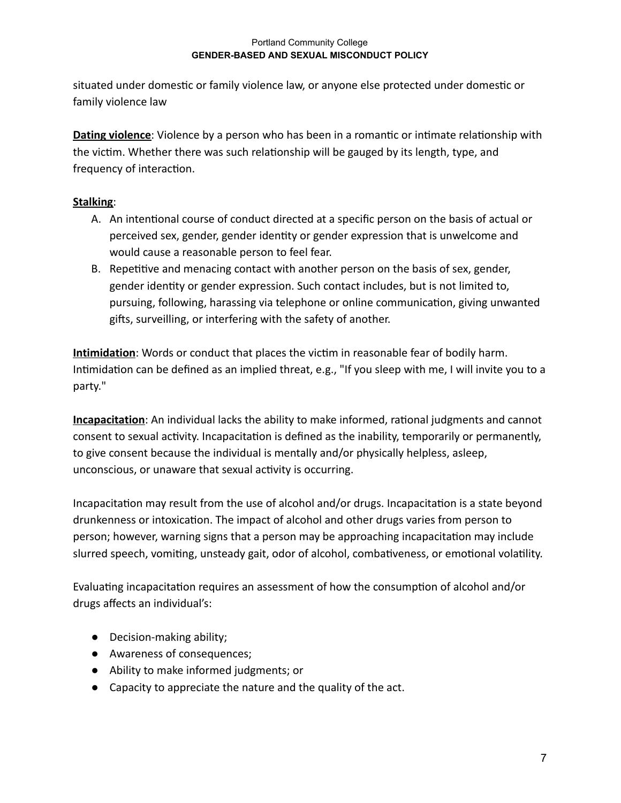situated under domestic or family violence law, or anyone else protected under domestic or family violence law

**Dating violence:** Violence by a person who has been in a romantic or intimate relationship with the victim. Whether there was such relationship will be gauged by its length, type, and frequency of interaction.

## **Stalking** :

- A. An intentional course of conduct directed at a specific person on the basis of actual or perceived sex, gender, gender identity or gender expression that is unwelcome and would cause a reasonable person to feel fear.
- B. Repetitive and menacing contact with another person on the basis of sex, gender, gender identy or gender expression. Such contact includes, but is not limited to, pursuing, following, harassing via telephone or online communication, giving unwanted gifts, surveilling, or interfering with the safety of another.

**Intimidation** : Words or conduct that places the vicm in reasonable fear of bodily harm. Intimidation can be defined as an implied threat, e.g., "If you sleep with me, I will invite you to a party."

**Incapacitation**: An individual lacks the ability to make informed, rational judgments and cannot consent to sexual activity. Incapacitation is defined as the inability, temporarily or permanently, to give consent because the individual is mentally and/or physically helpless, asleep, unconscious, or unaware that sexual activity is occurring.

Incapacitation may result from the use of alcohol and/or drugs. Incapacitation is a state beyond drunkenness or intoxication. The impact of alcohol and other drugs varies from person to person; however, warning signs that a person may be approaching incapacitation may include slurred speech, vomiting, unsteady gait, odor of alcohol, combativeness, or emotional volatility.

Evaluating incapacitation requires an assessment of how the consumption of alcohol and/or drugs affects an individual's:

- Decision-making ability;
- Awareness of consequences;
- Ability to make informed judgments; or
- Capacity to appreciate the nature and the quality of the act.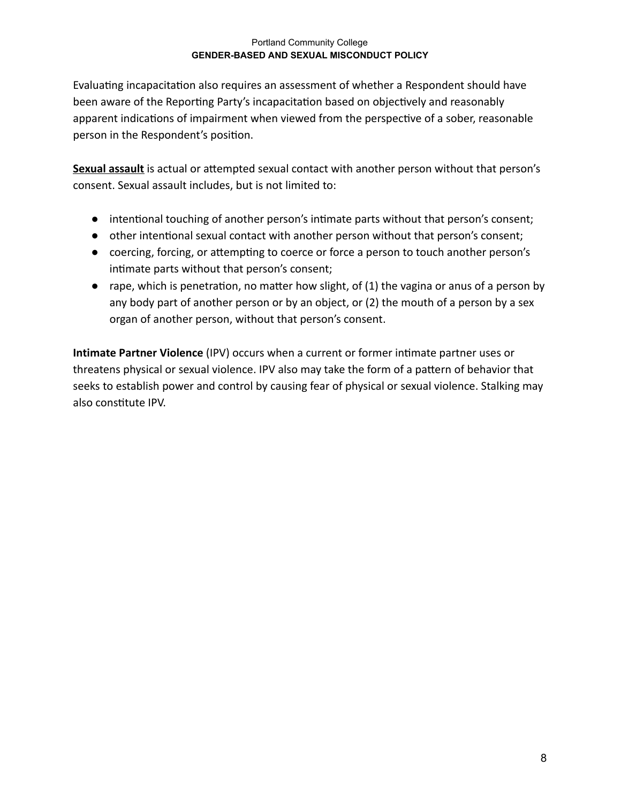Evaluating incapacitation also requires an assessment of whether a Respondent should have been aware of the Reporting Party's incapacitation based on objectively and reasonably apparent indications of impairment when viewed from the perspective of a sober, reasonable person in the Respondent's position.

**Sexual assault** is actual or attempted sexual contact with another person without that person's consent. Sexual assault includes, but is not limited to:

- intentional touching of another person's intimate parts without that person's consent;
- other intentional sexual contact with another person without that person's consent;
- coercing, forcing, or attempting to coerce or force a person to touch another person's intimate parts without that person's consent;
- $\bullet$  rape, which is penetration, no matter how slight, of (1) the vagina or anus of a person by any body part of another person or by an object, or (2) the mouth of a person by a sex organ of another person, without that person's consent.

**Intimate Partner Violence** (IPV) occurs when a current or former intimate partner uses or threatens physical or sexual violence. IPV also may take the form of a pattern of behavior that seeks to establish power and control by causing fear of physical or sexual violence. Stalking may also constitute IPV.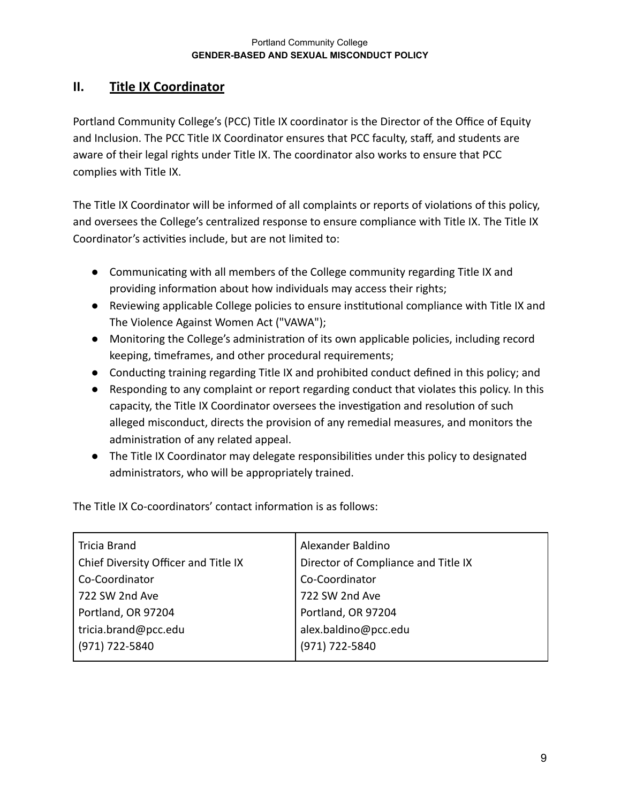# <span id="page-8-0"></span>**II. Title IX Coordinator**

Portland Community College's (PCC) Title IX coordinator is the Director of the Office of Equity and Inclusion. The PCC Title IX Coordinator ensures that PCC faculty, staff, and students are aware of their legal rights under Title IX. The coordinator also works to ensure that PCC complies with Title IX.

The Title IX Coordinator will be informed of all complaints or reports of violations of this policy, and oversees the College's centralized response to ensure compliance with Title IX. The Title IX Coordinator's activities include, but are not limited to:

- Communicating with all members of the College community regarding Title IX and providing information about how individuals may access their rights;
- Reviewing applicable College policies to ensure institutional compliance with Title IX and The Violence Against Women Act ("VAWA");
- Monitoring the College's administration of its own applicable policies, including record keeping, timeframes, and other procedural requirements;
- Conducting training regarding Title IX and prohibited conduct defined in this policy; and
- Responding to any complaint or report regarding conduct that violates this policy. In this capacity, the Title IX Coordinator oversees the investigation and resolution of such alleged misconduct, directs the provision of any remedial measures, and monitors the administration of any related appeal.
- The Title IX Coordinator may delegate responsibilities under this policy to designated administrators, who will be appropriately trained.

The Title IX Co-coordinators' contact information is as follows:

| <b>Tricia Brand</b>                  | Alexander Baldino                   |
|--------------------------------------|-------------------------------------|
| Chief Diversity Officer and Title IX | Director of Compliance and Title IX |
| Co-Coordinator                       | Co-Coordinator                      |
| 722 SW 2nd Ave                       | 722 SW 2nd Ave                      |
| Portland, OR 97204                   | Portland, OR 97204                  |
| tricia.brand@pcc.edu                 | alex.baldino@pcc.edu                |
| (971) 722-5840                       | (971) 722-5840                      |
|                                      |                                     |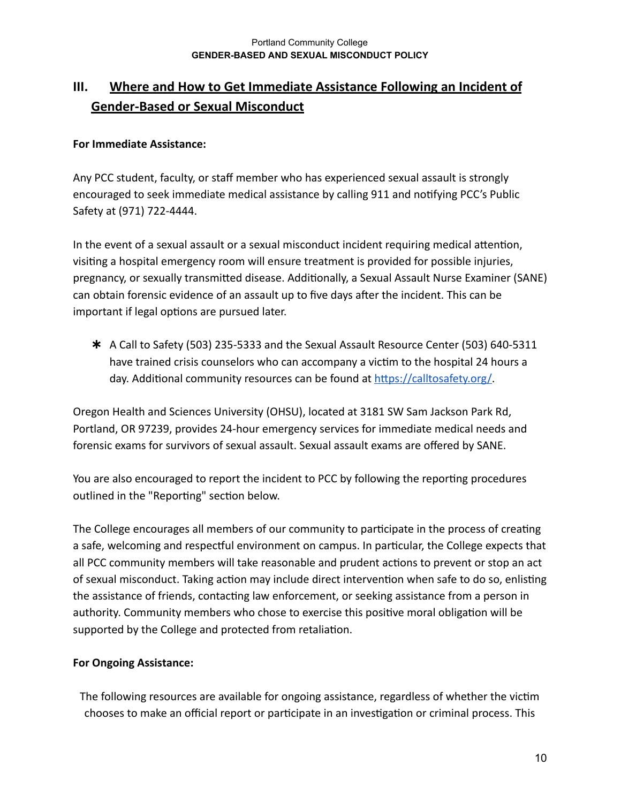# <span id="page-9-0"></span>**III. Where and How to Get Immediate Assistance Following an Incident of Gender-Based or Sexual Misconduct**

## **For Immediate Assistance:**

Any PCC student, faculty, or staff member who has experienced sexual assault is strongly encouraged to seek immediate medical assistance by calling 911 and notifying PCC's Public Safety at (971) 722-4444.

In the event of a sexual assault or a sexual misconduct incident requiring medical attention, visiting a hospital emergency room will ensure treatment is provided for possible injuries, pregnancy, or sexually transmitted disease. Additionally, a Sexual Assault Nurse Examiner (SANE) can obtain forensic evidence of an assault up to five days after the incident. This can be important if legal options are pursued later.

✱ A Call to Safety (503) 235-5333 and the Sexual Assault Resource Center (503) 640-5311 have trained crisis counselors who can accompany a victim to the hospital 24 hours a day. Additional community resources can be found at https://calltosafety.org/

Oregon Health and Sciences University (OHSU), located at 3181 SW Sam Jackson Park Rd, Portland, OR 97239, provides 24-hour emergency services for immediate medical needs and forensic exams for survivors of sexual assault. Sexual assault exams are offered by SANE.

You are also encouraged to report the incident to PCC by following the reporting procedures outlined in the "Reporting" section below.

The College encourages all members of our community to participate in the process of creating a safe, welcoming and respectful environment on campus. In particular, the College expects that all PCC community members will take reasonable and prudent actions to prevent or stop an act of sexual misconduct. Taking action may include direct intervention when safe to do so, enlisting the assistance of friends, contacting law enforcement, or seeking assistance from a person in authority. Community members who chose to exercise this positive moral obligation will be supported by the College and protected from retaliation.

### **For Ongoing Assistance:**

The following resources are available for ongoing assistance, regardless of whether the victim chooses to make an official report or participate in an investigation or criminal process. This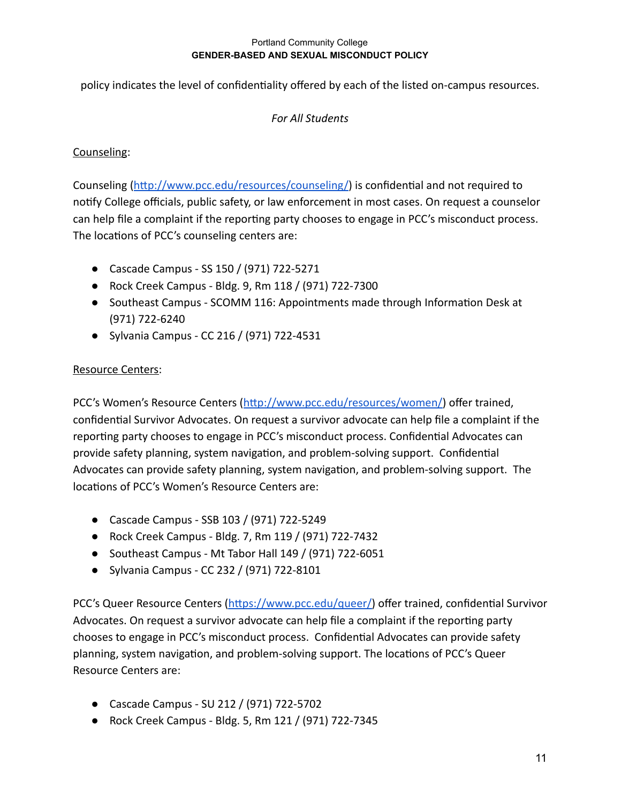policy indicates the level of confidentiality offered by each of the listed on-campus resources.

## *For All Students*

## Counseling:

Counseling (http://www.pcc.edu/resources/counseling/) is confidential and not required to notify College officials, public safety, or law enforcement in most cases. On request a counselor can help file a complaint if the reporting party chooses to engage in PCC's misconduct process. The locations of PCC's counseling centers are:

- Cascade Campus SS 150 / (971) 722-5271
- Rock Creek Campus Bldg. 9, Rm 118 / (971) 722-7300
- Southeast Campus SCOMM 116: Appointments made through Information Desk at (971) 722-6240
- Sylvania Campus CC 216 / (971) 722-4531

## Resource Centers:

PCC's Women's Resource Centers (http://www.pcc.edu/resources/women/) offer trained, confidential Survivor Advocates. On request a survivor advocate can help file a complaint if the reporting party chooses to engage in PCC's misconduct process. Confidential Advocates can provide safety planning, system navigation, and problem-solving support. Confidential Advocates can provide safety planning, system navigation, and problem-solving support. The locations of PCC's Women's Resource Centers are:

- Cascade Campus SSB 103 / (971) 722-5249
- Rock Creek Campus Bldg. 7, Rm 119 / (971) 722-7432
- Southeast Campus Mt Tabor Hall 149 / (971) 722-6051
- Sylvania Campus CC 232 / (971) 722-8101

PCC's Queer Resource Centers (https://www.pcc.edu/queer/) offer trained, confidential Survivor Advocates. On request a survivor advocate can help file a complaint if the reporting party chooses to engage in PCC's misconduct process. Confidential Advocates can provide safety planning, system navigation, and problem-solving support. The locations of PCC's Queer Resource Centers are:

- Cascade Campus SU 212 / (971) 722-5702
- Rock Creek Campus Bldg. 5, Rm 121 / (971) 722-7345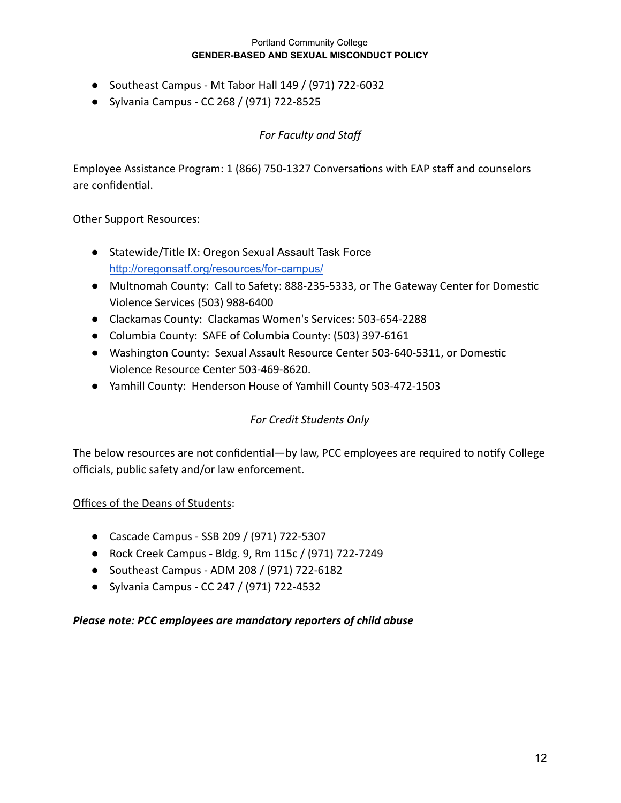- Southeast Campus Mt Tabor Hall 149 / (971) 722-6032
- Sylvania Campus CC 268 / (971) 722-8525

## *For Faculty and Staff*

Employee Assistance Program: 1 (866) 750-1327 Conversations with EAP staff and counselors are confidential.

Other Support Resources:

- Statewide/Title IX: Oregon Sexual Assault Task Force <http://oregonsatf.org/resources/for-campus/>
- Multnomah County: Call to Safety: 888-235-5333, or The Gateway Center for Domestic Violence Services (503) 988-6400
- Clackamas County: Clackamas Women's Services: 503-654-2288
- Columbia County: SAFE of Columbia County: (503) 397-6161
- Washington County: Sexual Assault Resource Center 503-640-5311, or Domestic Violence Resource Center 503-469-8620.
- Yamhill County: Henderson House of Yamhill County 503-472-1503

## *For Credit Students Only*

The below resources are not confidential—by law, PCC employees are required to notify College officials, public safety and/or law enforcement.

### Offices of the Deans of Students:

- Cascade Campus SSB 209 / (971) 722-5307
- Rock Creek Campus Bldg. 9, Rm 115c / (971) 722-7249
- Southeast Campus ADM 208 / (971) 722-6182
- Sylvania Campus CC 247 / (971) 722-4532

### *Please note: PCC employees are mandatory reporters of child abuse*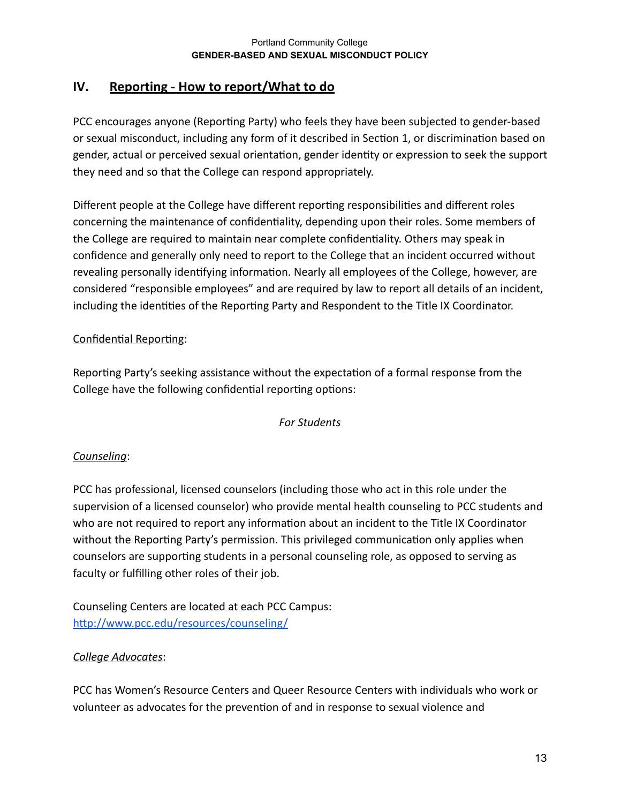# <span id="page-12-0"></span>**IV. Reporting - How to report/What to do**

PCC encourages anyone (Reporting Party) who feels they have been subjected to gender-based or sexual misconduct, including any form of it described in Section 1, or discrimination based on gender, actual or perceived sexual orientation, gender identity or expression to seek the support they need and so that the College can respond appropriately.

Different people at the College have different reporting responsibilities and different roles concerning the maintenance of confidentiality, depending upon their roles. Some members of the College are required to maintain near complete confidentiality. Others may speak in confidence and generally only need to report to the College that an incident occurred without revealing personally identifying information. Nearly all employees of the College, however, are considered "responsible employees" and are required by law to report all details of an incident, including the identities of the Reporting Party and Respondent to the Title IX Coordinator.

## Confidential Reporting:

Reporting Party's seeking assistance without the expectation of a formal response from the College have the following confidential reporting options:

## *For Students*

## *Counseling* :

PCC has professional, licensed counselors (including those who act in this role under the supervision of a licensed counselor) who provide mental health counseling to PCC students and who are not required to report any information about an incident to the Title IX Coordinator without the Reporting Party's permission. This privileged communication only applies when counselors are supporting students in a personal counseling role, as opposed to serving as faculty or fulfilling other roles of their job.

Counseling Centers are located at each PCC Campus: http://www.pcc.edu/resources/counseling/

## *College Advocates* :

PCC has Women's Resource Centers and Queer Resource Centers with individuals who work or volunteer as advocates for the prevention of and in response to sexual violence and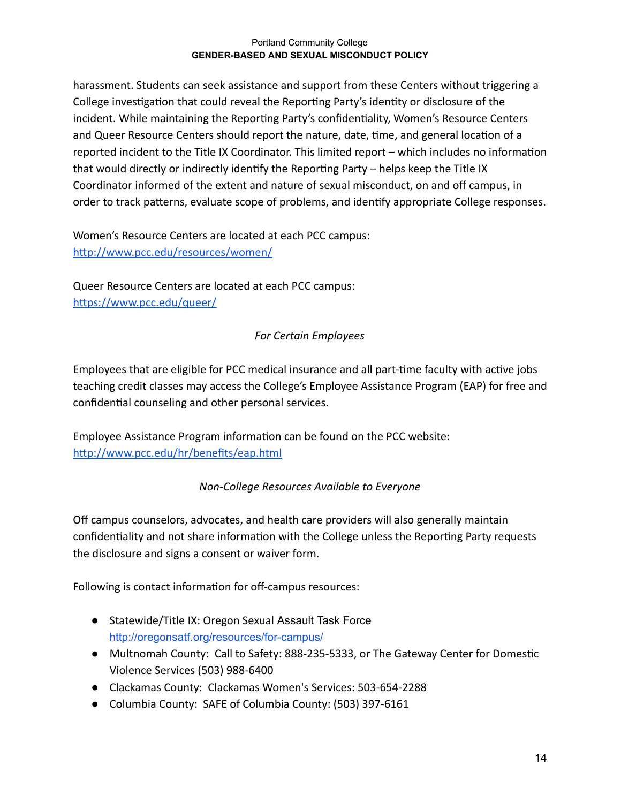harassment. Students can seek assistance and support from these Centers without triggering a College investigation that could reveal the Reporting Party's identity or disclosure of the incident. While maintaining the Reporting Party's confidentiality, Women's Resource Centers and Queer Resource Centers should report the nature, date, time, and general location of a reported incident to the Title IX Coordinator. This limited report – which includes no information that would directly or indirectly identify the Reporting Party  $-$  helps keep the Title IX Coordinator informed of the extent and nature of sexual misconduct, on and off campus, in order to track patterns, evaluate scope of problems, and identify appropriate College responses.

Women's Resource Centers are located at each PCC campus: http://www.pcc.edu/resources/women/

Queer Resource Centers are located at each PCC campus: https://www.pcc.edu/queer/

## *For Certain Employees*

Employees that are eligible for PCC medical insurance and all part-time faculty with active jobs teaching credit classes may access the College's Employee Assistance Program (EAP) for free and confidential counseling and other personal services.

Employee Assistance Program information can be found on the PCC website: http://www.pcc.edu/hr/benefits/eap.html

## *Non-College Resources Available to Everyone*

Off campus counselors, advocates, and health care providers will also generally maintain confidentiality and not share information with the College unless the Reporting Party requests the disclosure and signs a consent or waiver form.

Following is contact information for off-campus resources:

- Statewide/Title IX: Oregon Sexual Assault Task Force <http://oregonsatf.org/resources/for-campus/>
- Multnomah County: Call to Safety: 888-235-5333, or The Gateway Center for Domestic Violence Services (503) 988-6400
- Clackamas County: Clackamas Women's Services: 503-654-2288
- Columbia County: SAFE of Columbia County: (503) 397-6161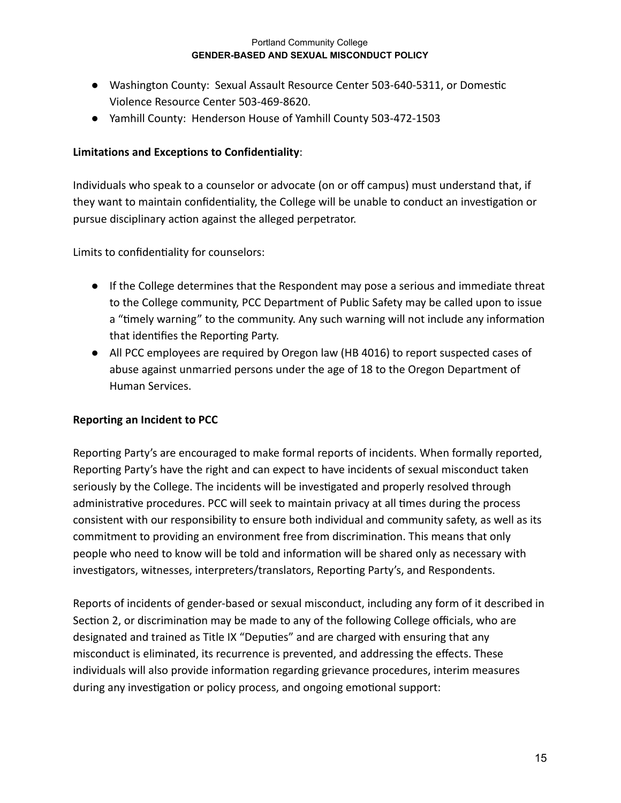- Washington County: Sexual Assault Resource Center 503-640-5311, or Domestic Violence Resource Center 503-469-8620.
- Yamhill County: Henderson House of Yamhill County 503-472-1503

## **Limitations and Exceptions to Confidentiality** :

Individuals who speak to a counselor or advocate (on or off campus) must understand that, if they want to maintain confidentiality, the College will be unable to conduct an investigation or pursue disciplinary action against the alleged perpetrator.

Limits to confidentiality for counselors:

- If the College determines that the Respondent may pose a serious and immediate threat to the College community, PCC Department of Public Safety may be called upon to issue a "timely warning" to the community. Any such warning will not include any information that identifies the Reporting Party.
- All PCC employees are required by Oregon law (HB 4016) to report suspected cases of abuse against unmarried persons under the age of 18 to the Oregon Department of Human Services.

### **Reporting an Incident to PCC**

Reporting Party's are encouraged to make formal reports of incidents. When formally reported, Reporting Party's have the right and can expect to have incidents of sexual misconduct taken seriously by the College. The incidents will be investigated and properly resolved through administrative procedures. PCC will seek to maintain privacy at all times during the process consistent with our responsibility to ensure both individual and community safety, as well as its commitment to providing an environment free from discrimination. This means that only people who need to know will be told and information will be shared only as necessary with investigators, witnesses, interpreters/translators, Reporting Party's, and Respondents.

Reports of incidents of gender-based or sexual misconduct, including any form of it described in Section 2, or discrimination may be made to any of the following College officials, who are designated and trained as Title IX "Deputies" and are charged with ensuring that any misconduct is eliminated, its recurrence is prevented, and addressing the effects. These individuals will also provide information regarding grievance procedures, interim measures during any investigation or policy process, and ongoing emotional support: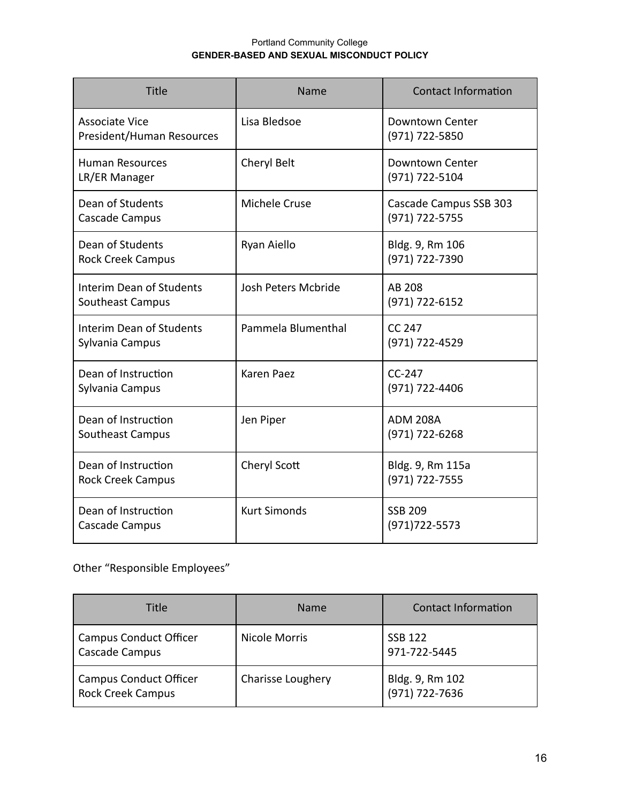| Title                                              | Name                | <b>Contact Information</b>               |
|----------------------------------------------------|---------------------|------------------------------------------|
| <b>Associate Vice</b><br>President/Human Resources | Lisa Bledsoe        | Downtown Center<br>(971) 722-5850        |
| <b>Human Resources</b><br>LR/ER Manager            | Cheryl Belt         | Downtown Center<br>(971) 722-5104        |
| Dean of Students<br>Cascade Campus                 | Michele Cruse       | Cascade Campus SSB 303<br>(971) 722-5755 |
| Dean of Students<br><b>Rock Creek Campus</b>       | Ryan Aiello         | Bldg. 9, Rm 106<br>(971) 722-7390        |
| Interim Dean of Students<br>Southeast Campus       | Josh Peters Mcbride | AB 208<br>(971) 722-6152                 |
| <b>Interim Dean of Students</b><br>Sylvania Campus | Pammela Blumenthal  | <b>CC 247</b><br>(971) 722-4529          |
| Dean of Instruction<br>Sylvania Campus             | Karen Paez          | $CC-247$<br>(971) 722-4406               |
| Dean of Instruction<br>Southeast Campus            | Jen Piper           | <b>ADM 208A</b><br>(971) 722-6268        |
| Dean of Instruction<br><b>Rock Creek Campus</b>    | Cheryl Scott        | Bldg. 9, Rm 115a<br>(971) 722-7555       |
| Dean of Instruction<br>Cascade Campus              | <b>Kurt Simonds</b> | <b>SSB 209</b><br>$(971)722 - 5573$      |

# Other "Responsible Employees"

| Title                                                     | <b>Name</b>          | <b>Contact Information</b>        |
|-----------------------------------------------------------|----------------------|-----------------------------------|
| <b>Campus Conduct Officer</b><br>Cascade Campus           | <b>Nicole Morris</b> | <b>SSB 122</b><br>971-722-5445    |
| <b>Campus Conduct Officer</b><br><b>Rock Creek Campus</b> | Charisse Loughery    | Bldg. 9, Rm 102<br>(971) 722-7636 |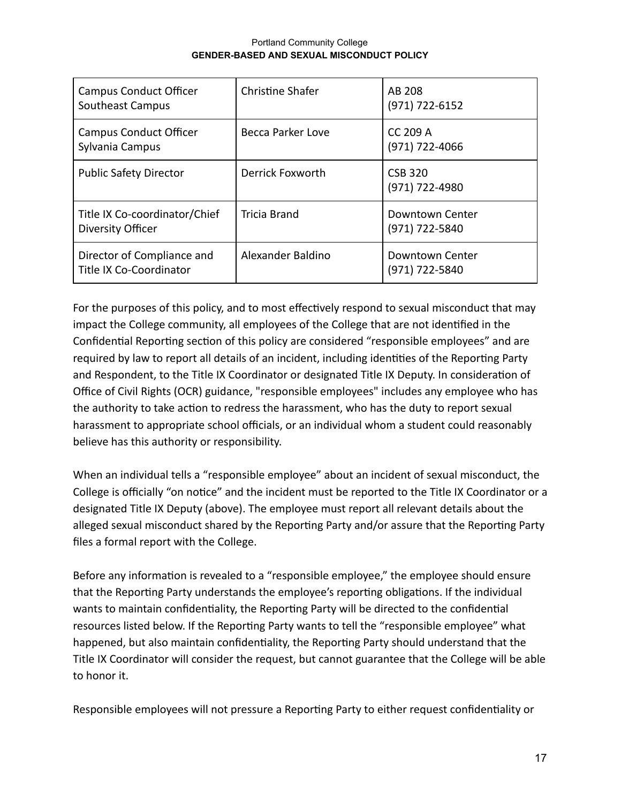| <b>Campus Conduct Officer</b><br><b>Southeast Campus</b> | <b>Christine Shafer</b> | AB 208<br>(971) 722-6152              |
|----------------------------------------------------------|-------------------------|---------------------------------------|
| <b>Campus Conduct Officer</b><br>Sylvania Campus         | Becca Parker Love       | <b>CC 209 A</b><br>$(971) 722 - 4066$ |
| <b>Public Safety Director</b>                            | Derrick Foxworth        | <b>CSB 320</b><br>(971) 722-4980      |
| Title IX Co-coordinator/Chief<br>Diversity Officer       | Tricia Brand            | Downtown Center<br>(971) 722-5840     |
| Director of Compliance and<br>Title IX Co-Coordinator    | Alexander Baldino       | Downtown Center<br>(971) 722-5840     |

For the purposes of this policy, and to most effectively respond to sexual misconduct that may impact the College community, all employees of the College that are not identified in the Confidential Reporting section of this policy are considered "responsible employees" and are required by law to report all details of an incident, including identities of the Reporting Party and Respondent, to the Title IX Coordinator or designated Title IX Deputy. In consideration of Office of Civil Rights (OCR) guidance, "responsible employees" includes any employee who has the authority to take action to redress the harassment, who has the duty to report sexual harassment to appropriate school officials, or an individual whom a student could reasonably believe has this authority or responsibility.

When an individual tells a "responsible employee" about an incident of sexual misconduct, the College is officially "on notice" and the incident must be reported to the Title IX Coordinator or a designated Title IX Deputy (above). The employee must report all relevant details about the alleged sexual misconduct shared by the Reporting Party and/or assure that the Reporting Party files a formal report with the College.

Before any information is revealed to a "responsible employee," the employee should ensure that the Reporting Party understands the employee's reporting obligations. If the individual wants to maintain confidentiality, the Reporting Party will be directed to the confidential resources listed below. If the Reporting Party wants to tell the "responsible employee" what happened, but also maintain confidentiality, the Reporting Party should understand that the Title IX Coordinator will consider the request, but cannot guarantee that the College will be able to honor it.

Responsible employees will not pressure a Reporting Party to either request confidentiality or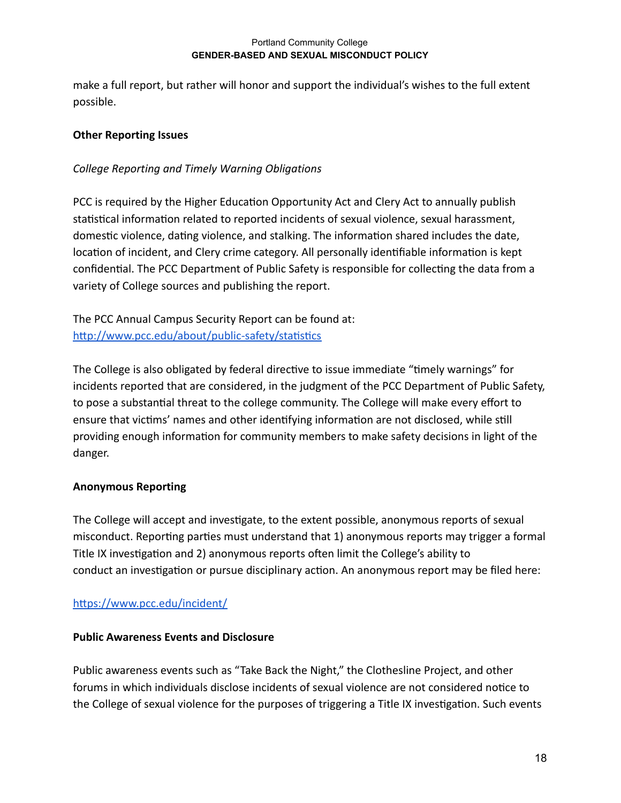make a full report, but rather will honor and support the individual's wishes to the full extent possible.

## **Other Reporting Issues**

## *College Reporting and Timely Warning Obligations*

PCC is required by the Higher Education Opportunity Act and Clery Act to annually publish statistical information related to reported incidents of sexual violence, sexual harassment, domestic violence, dating violence, and stalking. The information shared includes the date, location of incident, and Clery crime category. All personally identifiable information is kept confidential. The PCC Department of Public Safety is responsible for collecting the data from a variety of College sources and publishing the report.

The PCC Annual Campus Security Report can be found at: http://www.pcc.edu/about/public-safety/statistics

The College is also obligated by federal directive to issue immediate "timely warnings" for incidents reported that are considered, in the judgment of the PCC Department of Public Safety, to pose a substantial threat to the college community. The College will make every effort to ensure that victims' names and other identifying information are not disclosed, while still providing enough information for community members to make safety decisions in light of the danger.

### **Anonymous Reporting**

The College will accept and investigate, to the extent possible, anonymous reports of sexual misconduct. Reporting parties must understand that 1) anonymous reports may trigger a formal Title IX investigation and 2) anonymous reports often limit the College's ability to conduct an investigation or pursue disciplinary action. An anonymous report may be filed here:

### https://www.pcc.edu/incident/

### **Public Awareness Events and Disclosure**

Public awareness events such as "Take Back the Night," the Clothesline Project, and other forums in which individuals disclose incidents of sexual violence are not considered notice to the College of sexual violence for the purposes of triggering a Title IX investigation. Such events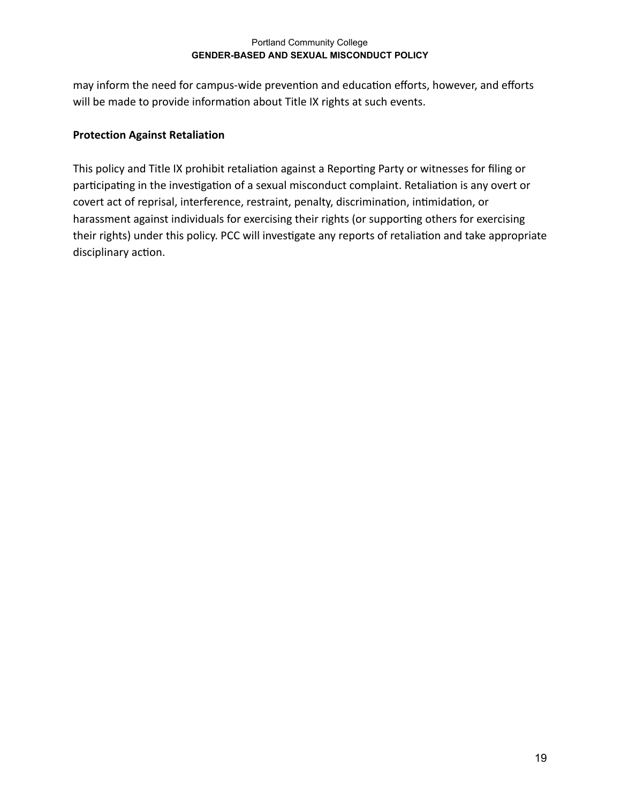may inform the need for campus-wide prevention and education efforts, however, and efforts will be made to provide information about Title IX rights at such events.

## **Protection Against Retaliation**

This policy and Title IX prohibit retaliation against a Reporting Party or witnesses for filing or participating in the investigation of a sexual misconduct complaint. Retaliation is any overt or covert act of reprisal, interference, restraint, penalty, discrimination, intimidation, or harassment against individuals for exercising their rights (or supporting others for exercising their rights) under this policy. PCC will investigate any reports of retaliation and take appropriate disciplinary action.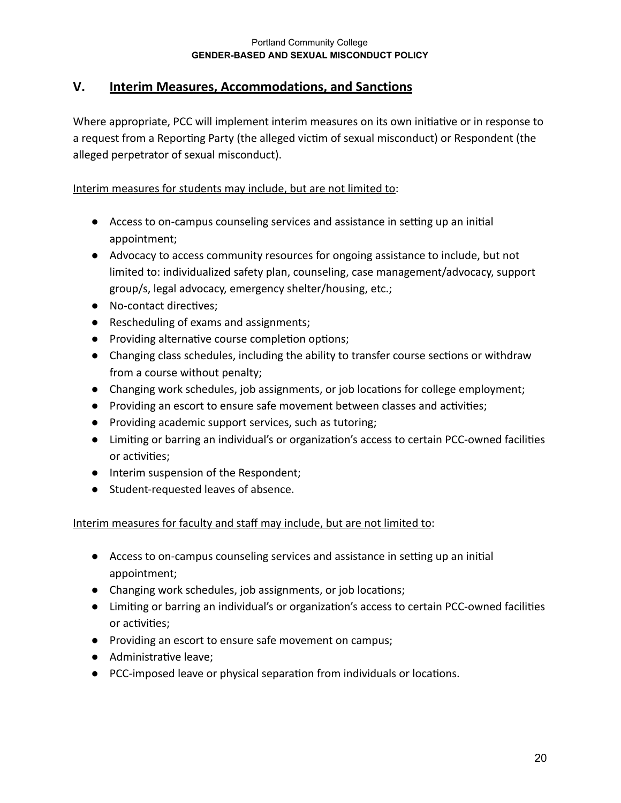## <span id="page-19-0"></span>**V. Interim Measures, Accommodations, and Sanctions**

Where appropriate, PCC will implement interim measures on its own initiative or in response to a request from a Reporting Party (the alleged victim of sexual misconduct) or Respondent (the alleged perpetrator of sexual misconduct).

## Interim measures for students may include, but are not limited to:

- Access to on-campus counseling services and assistance in setting up an initial appointment;
- Advocacy to access community resources for ongoing assistance to include, but not limited to: individualized safety plan, counseling, case management/advocacy, support group/s, legal advocacy, emergency shelter/housing, etc.;
- No-contact directives;
- Rescheduling of exams and assignments;
- Providing alternative course completion options;
- Changing class schedules, including the ability to transfer course sections or withdraw from a course without penalty;
- Changing work schedules, job assignments, or job locations for college employment;
- Providing an escort to ensure safe movement between classes and activities;
- Providing academic support services, such as tutoring;
- Limiting or barring an individual's or organization's access to certain PCC-owned facilities or activities;
- Interim suspension of the Respondent;
- Student-requested leaves of absence.

## Interim measures for faculty and staff may include, but are not limited to:

- Access to on-campus counseling services and assistance in setting up an initial appointment;
- Changing work schedules, job assignments, or job locations;
- Limiting or barring an individual's or organization's access to certain PCC-owned facilities or activities;
- Providing an escort to ensure safe movement on campus;
- Administrative leave;
- PCC-imposed leave or physical separation from individuals or locations.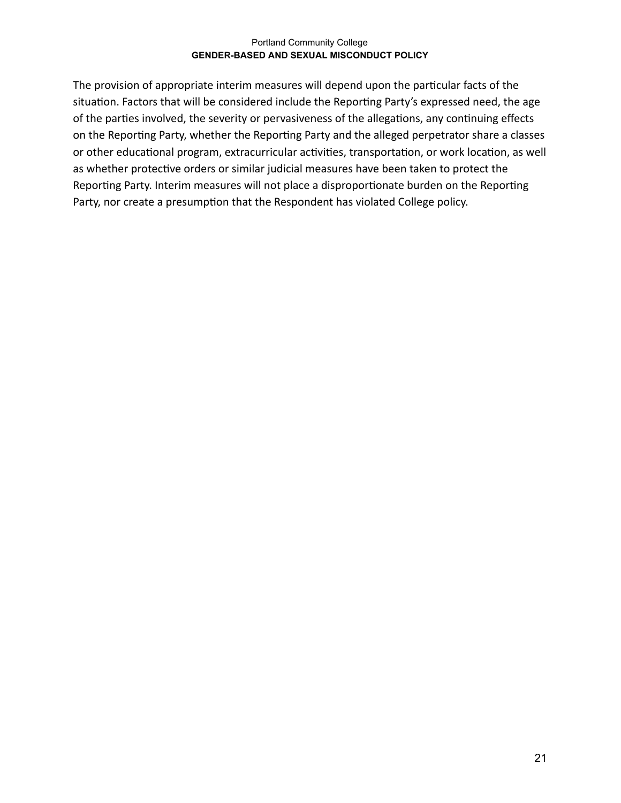The provision of appropriate interim measures will depend upon the particular facts of the situation. Factors that will be considered include the Reporting Party's expressed need, the age of the parties involved, the severity or pervasiveness of the allegations, any continuing effects on the Reporting Party, whether the Reporting Party and the alleged perpetrator share a classes or other educational program, extracurricular activities, transportation, or work location, as well as whether protective orders or similar judicial measures have been taken to protect the Reporting Party. Interim measures will not place a disproportionate burden on the Reporting Party, nor create a presumption that the Respondent has violated College policy.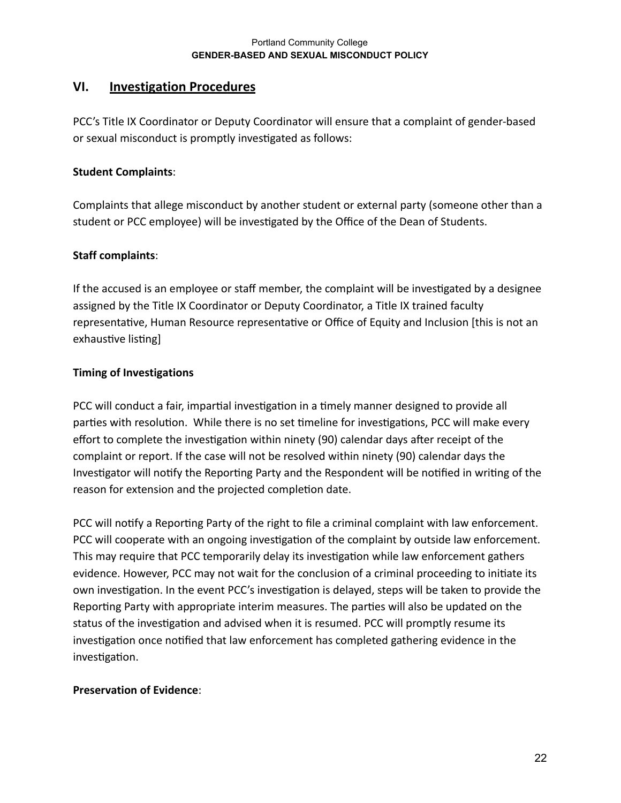## <span id="page-21-0"></span>**VI. Investigation Procedures**

PCC's Title IX Coordinator or Deputy Coordinator will ensure that a complaint of gender-based or sexual misconduct is promptly investigated as follows:

## **Student Complaints** :

Complaints that allege misconduct by another student or external party (someone other than a student or PCC employee) will be investigated by the Office of the Dean of Students.

## **Staff complaints** :

If the accused is an employee or staff member, the complaint will be investigated by a designee assigned by the Title IX Coordinator or Deputy Coordinator, a Title IX trained faculty representative, Human Resource representative or Office of Equity and Inclusion [this is not an exhaustive listing]

## **Timing of Investigations**

PCC will conduct a fair, impartial investigation in a timely manner designed to provide all parties with resolution. While there is no set timeline for investigations, PCC will make every effort to complete the investigation within ninety (90) calendar days after receipt of the complaint or report. If the case will not be resolved within ninety (90) calendar days the Investigator will notify the Reporting Party and the Respondent will be notified in writing of the reason for extension and the projected completion date.

PCC will notify a Reporting Party of the right to file a criminal complaint with law enforcement. PCC will cooperate with an ongoing investigation of the complaint by outside law enforcement. This may require that PCC temporarily delay its investigation while law enforcement gathers evidence. However, PCC may not wait for the conclusion of a criminal proceeding to iniate its own investigation. In the event PCC's investigation is delayed, steps will be taken to provide the Reporting Party with appropriate interim measures. The parties will also be updated on the status of the investigation and advised when it is resumed. PCC will promptly resume its investigation once notified that law enforcement has completed gathering evidence in the investigation.

### **Preservation of Evidence** :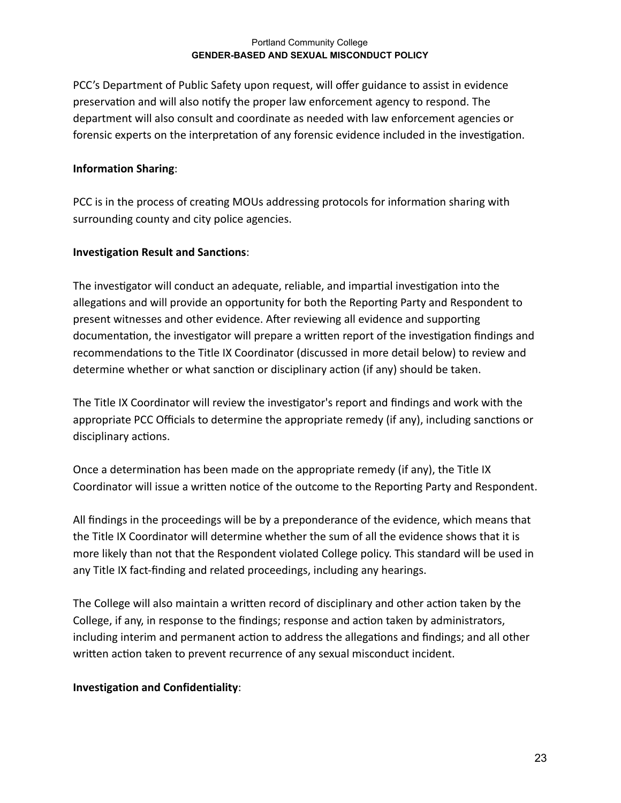PCC's Department of Public Safety upon request, will offer guidance to assist in evidence preservation and will also notify the proper law enforcement agency to respond. The department will also consult and coordinate as needed with law enforcement agencies or forensic experts on the interpretation of any forensic evidence included in the investigation.

### **Information Sharing** :

PCC is in the process of creating MOUs addressing protocols for information sharing with surrounding county and city police agencies.

## **Investigation Result and Sanctions** :

The investigator will conduct an adequate, reliable, and impartial investigation into the allegations and will provide an opportunity for both the Reporting Party and Respondent to present witnesses and other evidence. After reviewing all evidence and supporting documentation, the investigator will prepare a written report of the investigation findings and recommendations to the Title IX Coordinator (discussed in more detail below) to review and determine whether or what sanction or disciplinary action (if any) should be taken.

The Title IX Coordinator will review the investigator's report and findings and work with the appropriate PCC Officials to determine the appropriate remedy (if any), including sanctions or disciplinary actions.

Once a determination has been made on the appropriate remedy (if any), the Title IX Coordinator will issue a written notice of the outcome to the Reporting Party and Respondent.

All findings in the proceedings will be by a preponderance of the evidence, which means that the Title IX Coordinator will determine whether the sum of all the evidence shows that it is more likely than not that the Respondent violated College policy. This standard will be used in any Title IX fact-finding and related proceedings, including any hearings.

The College will also maintain a written record of disciplinary and other action taken by the College, if any, in response to the findings; response and action taken by administrators, including interim and permanent action to address the allegations and findings; and all other written action taken to prevent recurrence of any sexual misconduct incident.

### **Investigation and Confidentiality** :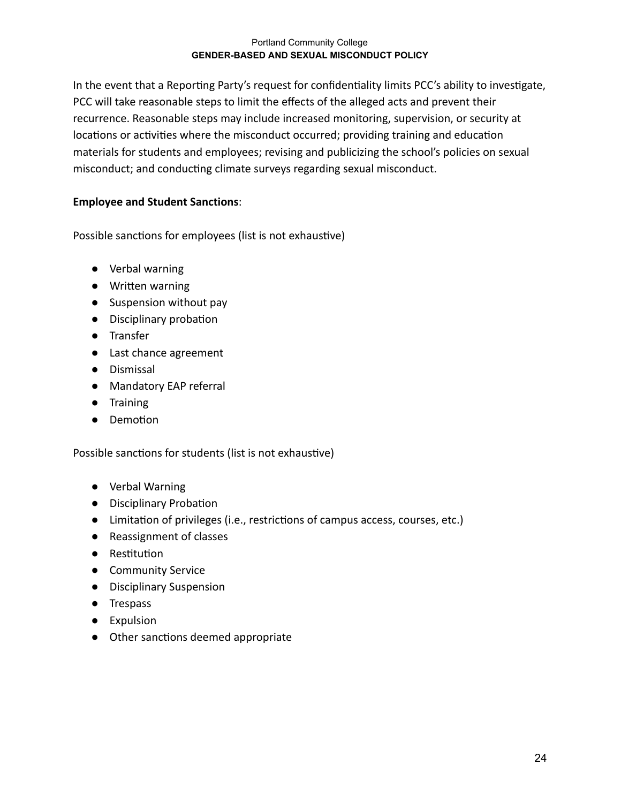In the event that a Reporting Party's request for confidentiality limits PCC's ability to investigate, PCC will take reasonable steps to limit the effects of the alleged acts and prevent their recurrence. Reasonable steps may include increased monitoring, supervision, or security at locations or activities where the misconduct occurred; providing training and education materials for students and employees; revising and publicizing the school's policies on sexual misconduct; and conducting climate surveys regarding sexual misconduct.

## **Employee and Student Sanctions** :

Possible sanctions for employees (list is not exhaustive)

- Verbal warning
- Written warning
- Suspension without pay
- Disciplinary probation
- Transfer
- Last chance agreement
- Dismissal
- Mandatory EAP referral
- Training
- Demotion

Possible sanctions for students (list is not exhaustive)

- Verbal Warning
- Disciplinary Probation
- Limitation of privileges (i.e., restrictions of campus access, courses, etc.)
- Reassignment of classes
- Restitution
- Community Service
- Disciplinary Suspension
- Trespass
- Expulsion
- Other sanctions deemed appropriate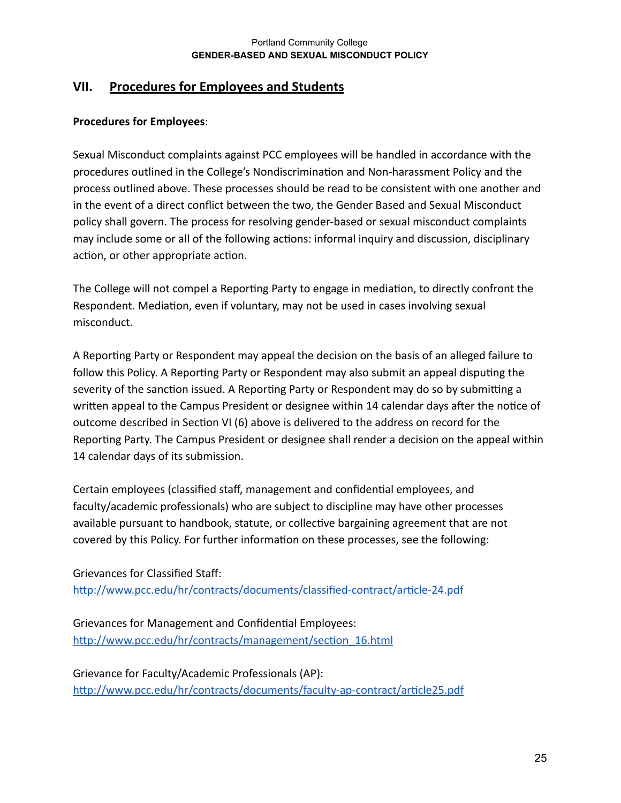## <span id="page-24-0"></span>**VII. Procedures for Employees and Students**

## **Procedures for Employees** :

Sexual Misconduct complaints against PCC employees will be handled in accordance with the procedures outlined in the College's Nondiscrimination and Non-harassment Policy and the process outlined above. These processes should be read to be consistent with one another and in the event of a direct conflict between the two, the Gender Based and Sexual Misconduct policy shall govern. The process for resolving gender-based or sexual misconduct complaints may include some or all of the following actions: informal inquiry and discussion, disciplinary action, or other appropriate action.

The College will not compel a Reporting Party to engage in mediation, to directly confront the Respondent. Mediation, even if voluntary, may not be used in cases involving sexual misconduct.

A Reporting Party or Respondent may appeal the decision on the basis of an alleged failure to follow this Policy. A Reporting Party or Respondent may also submit an appeal disputing the severity of the sanction issued. A Reporting Party or Respondent may do so by submitting a written appeal to the Campus President or designee within 14 calendar days after the notice of outcome described in Section VI (6) above is delivered to the address on record for the Reporting Party. The Campus President or designee shall render a decision on the appeal within 14 calendar days of its submission.

Certain employees (classified staff, management and confidential employees, and faculty/academic professionals) who are subject to discipline may have other processes available pursuant to handbook, statute, or collective bargaining agreement that are not covered by this Policy. For further information on these processes, see the following:

Grievances for Classified Staff: http://www.pcc.edu/hr/contracts/documents/classified-contract/article-24.pdf

Grievances for Management and Confidential Employees: http://www.pcc.edu/hr/contracts/management/section\_16.html

Grievance for Faculty/Academic Professionals (AP): http://www.pcc.edu/hr/contracts/documents/faculty-ap-contract/article25.pdf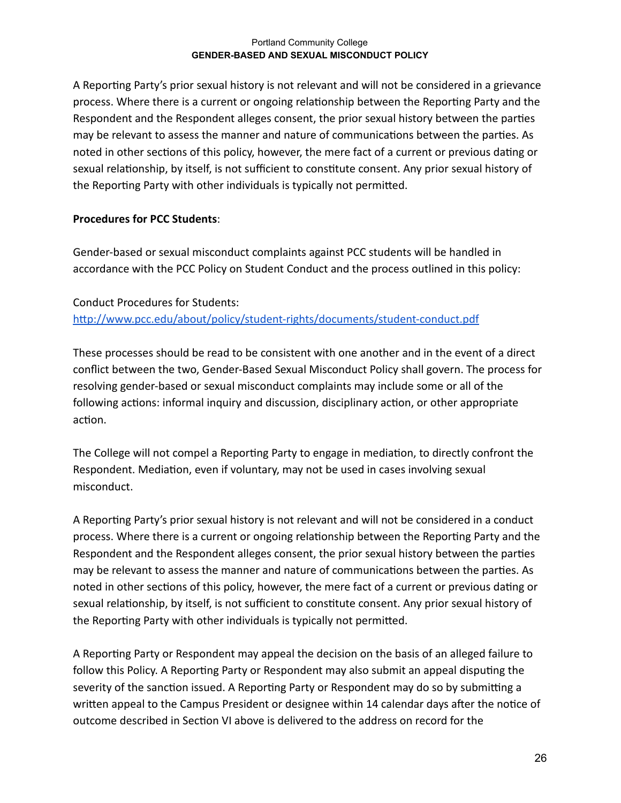A Reporting Party's prior sexual history is not relevant and will not be considered in a grievance process. Where there is a current or ongoing relationship between the Reporting Party and the Respondent and the Respondent alleges consent, the prior sexual history between the parties may be relevant to assess the manner and nature of communications between the parties. As noted in other sections of this policy, however, the mere fact of a current or previous dating or sexual relationship, by itself, is not sufficient to constitute consent. Any prior sexual history of the Reporting Party with other individuals is typically not permitted.

## **Procedures for PCC Students** :

Gender-based or sexual misconduct complaints against PCC students will be handled in accordance with the PCC Policy on Student Conduct and the process outlined in this policy:

Conduct Procedures for Students: http://www.pcc.edu/about/policy/student-rights/documents/student-conduct.pdf

These processes should be read to be consistent with one another and in the event of a direct conflict between the two, Gender-Based Sexual Misconduct Policy shall govern. The process for resolving gender-based or sexual misconduct complaints may include some or all of the following actions: informal inquiry and discussion, disciplinary action, or other appropriate action.

The College will not compel a Reporting Party to engage in mediation, to directly confront the Respondent. Mediation, even if voluntary, may not be used in cases involving sexual misconduct.

A Reporting Party's prior sexual history is not relevant and will not be considered in a conduct process. Where there is a current or ongoing relationship between the Reporting Party and the Respondent and the Respondent alleges consent, the prior sexual history between the parties may be relevant to assess the manner and nature of communications between the parties. As noted in other sections of this policy, however, the mere fact of a current or previous dating or sexual relationship, by itself, is not sufficient to constitute consent. Any prior sexual history of the Reporting Party with other individuals is typically not permitted.

A Reporting Party or Respondent may appeal the decision on the basis of an alleged failure to follow this Policy. A Reporting Party or Respondent may also submit an appeal disputing the severity of the sanction issued. A Reporting Party or Respondent may do so by submitting a written appeal to the Campus President or designee within 14 calendar days after the notice of outcome described in Section VI above is delivered to the address on record for the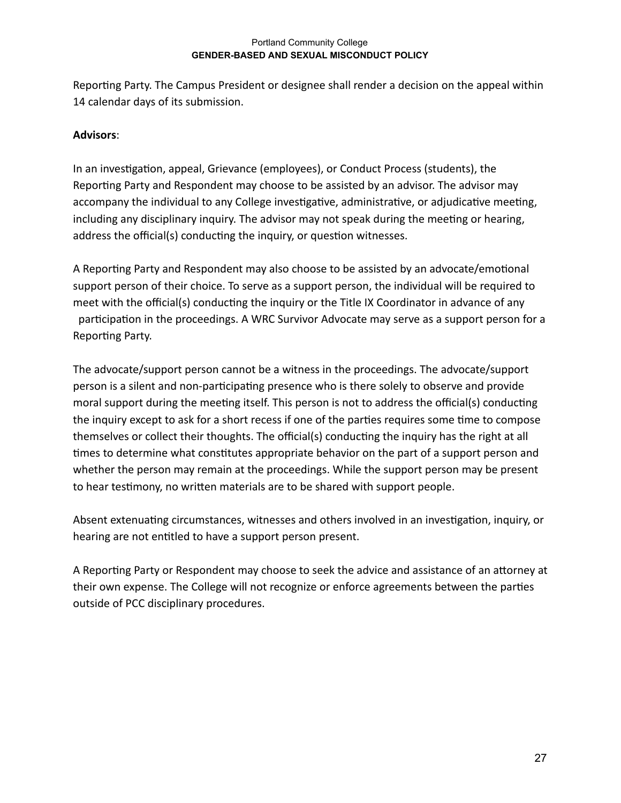Reporting Party. The Campus President or designee shall render a decision on the appeal within 14 calendar days of its submission.

## **Advisors** :

In an investigation, appeal, Grievance (employees), or Conduct Process (students), the Reporting Party and Respondent may choose to be assisted by an advisor. The advisor may accompany the individual to any College investigative, administrative, or adjudicative meeting, including any disciplinary inquiry. The advisor may not speak during the meeting or hearing, address the official(s) conducting the inquiry, or question witnesses.

A Reporting Party and Respondent may also choose to be assisted by an advocate/emotional support person of their choice. To serve as a support person, the individual will be required to meet with the official(s) conducting the inquiry or the Title IX Coordinator in advance of any participation in the proceedings. A WRC Survivor Advocate may serve as a support person for a Reporting Party.

The advocate/support person cannot be a witness in the proceedings. The advocate/support person is a silent and non-participating presence who is there solely to observe and provide moral support during the meeting itself. This person is not to address the official(s) conducting the inquiry except to ask for a short recess if one of the parties requires some time to compose themselves or collect their thoughts. The official(s) conducting the inquiry has the right at all times to determine what constitutes appropriate behavior on the part of a support person and whether the person may remain at the proceedings. While the support person may be present to hear testimony, no written materials are to be shared with support people.

Absent extenuating circumstances, witnesses and others involved in an investigation, inquiry, or hearing are not entitled to have a support person present.

A Reporting Party or Respondent may choose to seek the advice and assistance of an attorney at their own expense. The College will not recognize or enforce agreements between the parties outside of PCC disciplinary procedures.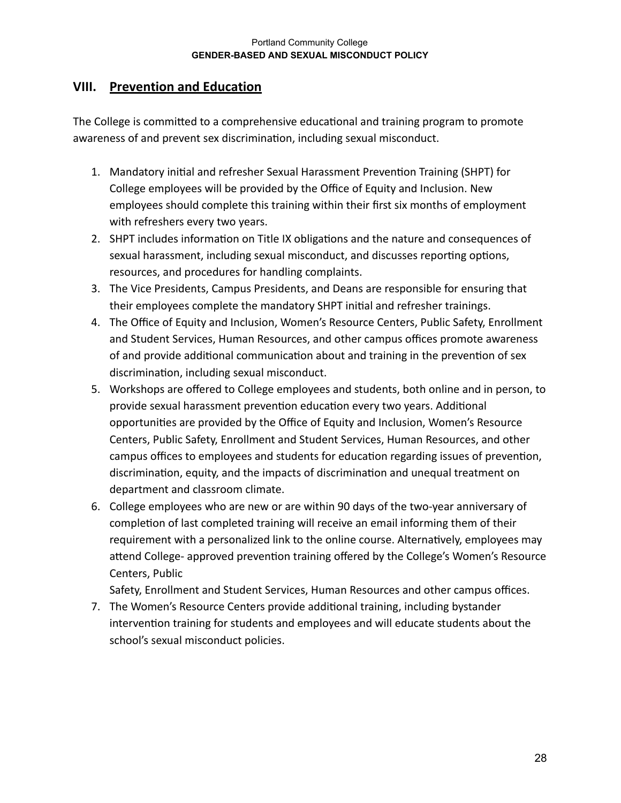## <span id="page-27-0"></span>**VIII. Prevention and Education**

The College is committed to a comprehensive educational and training program to promote awareness of and prevent sex discrimination, including sexual misconduct.

- 1. Mandatory initial and refresher Sexual Harassment Prevention Training (SHPT) for College employees will be provided by the Office of Equity and Inclusion. New employees should complete this training within their first six months of employment with refreshers every two years.
- 2. SHPT includes information on Title IX obligations and the nature and consequences of sexual harassment, including sexual misconduct, and discusses reporting options, resources, and procedures for handling complaints.
- 3. The Vice Presidents, Campus Presidents, and Deans are responsible for ensuring that their employees complete the mandatory SHPT initial and refresher trainings.
- 4. The Office of Equity and Inclusion, Women's Resource Centers, Public Safety, Enrollment and Student Services, Human Resources, and other campus offices promote awareness of and provide additional communication about and training in the prevention of sex discrimination, including sexual misconduct.
- 5. Workshops are offered to College employees and students, both online and in person, to provide sexual harassment prevention education every two years. Additional opportunities are provided by the Office of Equity and Inclusion, Women's Resource Centers, Public Safety, Enrollment and Student Services, Human Resources, and other campus offices to employees and students for education regarding issues of prevention, discrimination, equity, and the impacts of discrimination and unequal treatment on department and classroom climate.
- 6. College employees who are new or are within 90 days of the two-year anniversary of completion of last completed training will receive an email informing them of their requirement with a personalized link to the online course. Alternatively, employees may attend College- approved prevention training offered by the College's Women's Resource Centers, Public

Safety, Enrollment and Student Services, Human Resources and other campus offices.

7. The Women's Resource Centers provide additional training, including bystander intervention training for students and employees and will educate students about the school's sexual misconduct policies.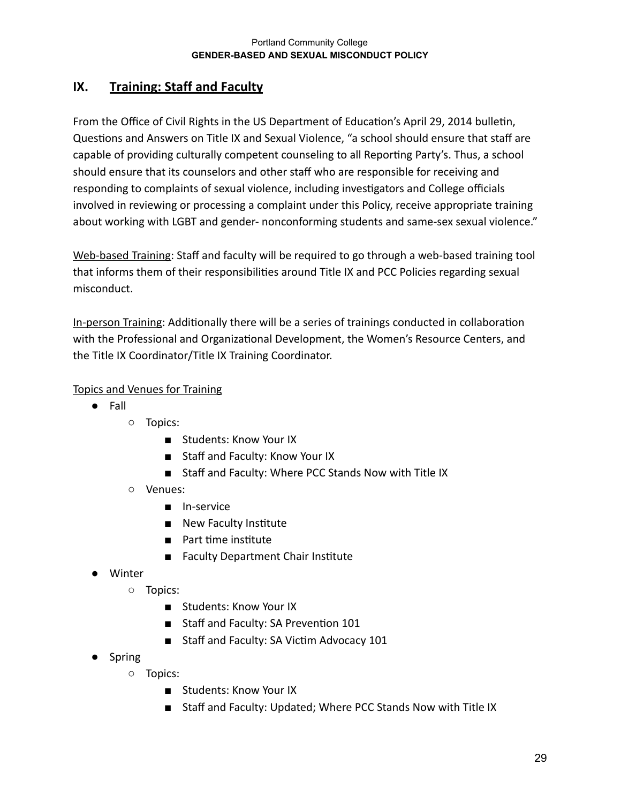# <span id="page-28-0"></span>**IX. Training: Staff and Faculty**

From the Office of Civil Rights in the US Department of Education's April 29, 2014 bulletin, Questions and Answers on Title IX and Sexual Violence, "a school should ensure that staff are capable of providing culturally competent counseling to all Reporting Party's. Thus, a school should ensure that its counselors and other staff who are responsible for receiving and responding to complaints of sexual violence, including investigators and College officials involved in reviewing or processing a complaint under this Policy, receive appropriate training about working with LGBT and gender- nonconforming students and same-sex sexual violence."

Web-based Training: Staff and faculty will be required to go through a web-based training tool that informs them of their responsibilities around Title IX and PCC Policies regarding sexual misconduct.

In-person Training: Additionally there will be a series of trainings conducted in collaboration with the Professional and Organizational Development, the Women's Resource Centers, and the Title IX Coordinator/Title IX Training Coordinator.

## Topics and Venues for Training

- Fall
	- Topics:
		- Students: Know Your IX
		- Staff and Faculty: Know Your IX
		- Staff and Faculty: Where PCC Stands Now with Title IX
	- Venues:
		- In-service
		- New Faculty Institute
		- Part time institute
		- Faculty Department Chair Institute
- Winter
	- Topics:
		- Students: Know Your IX
		- Staff and Faculty: SA Prevention 101
		- Staff and Faculty: SA Victim Advocacy 101
- Spring
	- Topics:
		- Students: Know Your IX
		- Staff and Faculty: Updated; Where PCC Stands Now with Title IX